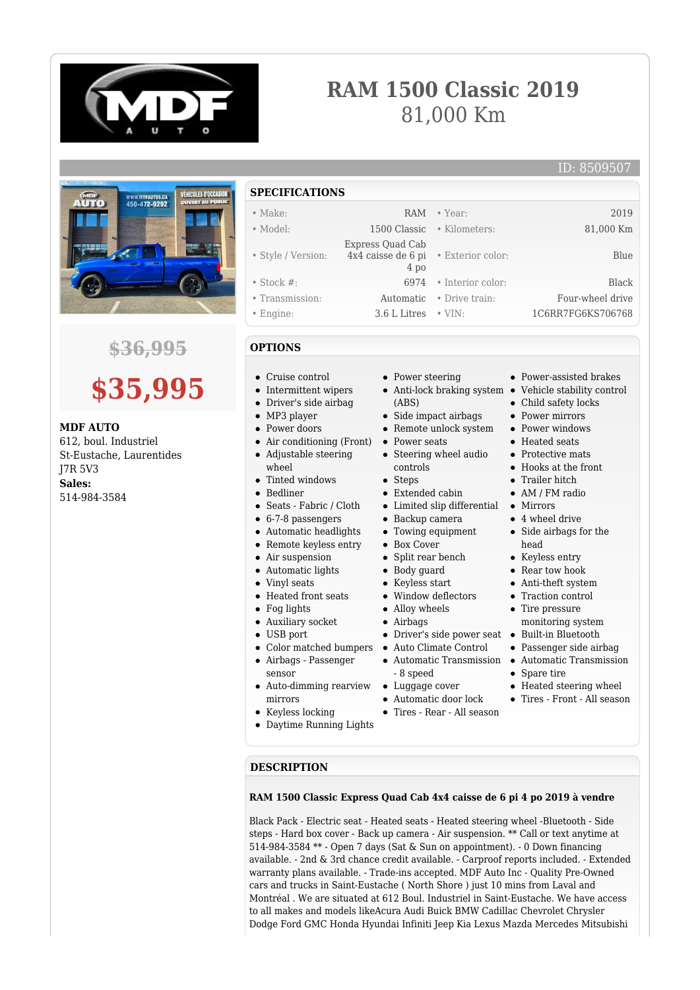

# **RAM 1500 Classic 2019** 81,000 Km



## **\$36,995**



#### **MDF AUTO**

612, boul. Industriel St-Eustache, Laurentides J7R 5V3 **Sales:** 514-984-3584

**SPECIFICATIONS**

| $\bullet$ Make:    | <b>RAM</b>                                                       | • Year:                    | 2019              |
|--------------------|------------------------------------------------------------------|----------------------------|-------------------|
| $\bullet$ Model:   |                                                                  | 1500 Classic • Kilometers: | 81,000 Km         |
| • Style / Version: | Express Quad Cab<br>4x4 caisse de 6 pi • Exterior color:<br>4 po |                            | Blue              |
| $\bullet$ Stock #: | 6974                                                             | • Interior color:          | Black             |
| • Transmission:    |                                                                  | Automatic • Drive train:   | Four-wheel drive  |
| $\bullet$ Engine:  | 3.6 L Litres                                                     | $\cdot$ VIN:               | 1C6RR7FG6KS706768 |

#### **OPTIONS**

- Cruise control
- Intermittent wipers
- Driver's side airbag
- MP3 player
- Power doors
- Air conditioning (Front)  $\bullet$ Adjustable steering
- wheel
- Tinted windows
- Bedliner
- Seats Fabric / Cloth
- 6-7-8 passengers
- 
- Automatic headlights
- Remote keyless entry
- Air suspension
- Automatic lights
- Vinyl seats
- Heated front seats
- Fog lights
- Auxiliary socket
- USB port
- Color matched bumpers
- Airbags Passenger sensor
- Auto-dimming rearview mirrors
- Keyless locking
- Daytime Running Lights
- Power steering
- (ABS)
- Side impact airbags
- Remote unlock system
- $\bullet$ Power seats
- Steering wheel audio controls
- Steps
- Extended cabin
- Limited slip differential Mirrors
- Backup camera
- Towing equipment
- Box Cover
- Split rear bench
- Body guard
- Keyless start
- Window deflectors
- Alloy wheels
- Airbags
- Driver's side power seat Built-in Bluetooth
- Auto Climate Control
- Automatic Transmission Automatic Transmission - 8 speed
- Luggage cover
- Automatic door lock
- Tires Rear All season
- Anti-lock braking system Vehicle stability control • Power-assisted brakes
	- Child safety locks
	- Power mirrors
	- Power windows
	- Heated seats
	- **Protective mate**
	- Hooks at the front
	- **•** Trailer hitch
	- AM / FM radio
	-
	- 4 wheel drive
	- Side airbags for the head
	- Keyless entry
	- Rear tow hook
	- Anti-theft system
	- Traction control
	- Tire pressure monitoring system
		-
	- Passenger side airbag
	-
	- Spare tire
	- Heated steering wheel
	- Tires Front All season

#### **DESCRIPTION**

#### **RAM 1500 Classic Express Quad Cab 4x4 caisse de 6 pi 4 po 2019 à vendre**

Black Pack - Electric seat - Heated seats - Heated steering wheel -Bluetooth - Side steps - Hard box cover - Back up camera - Air suspension. \*\* Call or text anytime at 514-984-3584 \*\* - Open 7 days (Sat & Sun on appointment). - 0 Down financing available. - 2nd & 3rd chance credit available. - Carproof reports included. - Extended warranty plans available. - Trade-ins accepted. MDF Auto Inc - Quality Pre-Owned cars and trucks in Saint-Eustache ( North Shore ) just 10 mins from Laval and Montréal . We are situated at 612 Boul. Industriel in Saint-Eustache. We have access to all makes and models likeAcura Audi Buick BMW Cadillac Chevrolet Chrysler Dodge Ford GMC Honda Hyundai Infiniti Jeep Kia Lexus Mazda Mercedes Mitsubishi